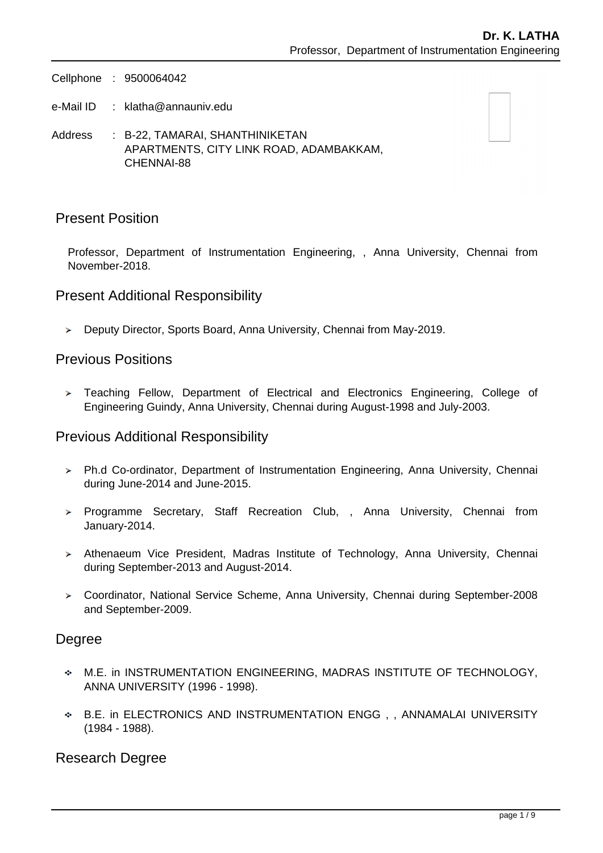Cellphone : 9500064042

- e-Mail ID : klatha@annauniv.edu
- Address : B-22, TAMARAI, SHANTHINIKETAN APARTMENTS, CITY LINK ROAD, ADAMBAKKAM, CHENNAI-88

### Present Position

Professor, Department of Instrumentation Engineering, , Anna University, Chennai from November-2018.

### Present Additional Responsibility

Deputy Director, Sports Board, Anna University, Chennai from May-2019.

### Previous Positions

> Teaching Fellow, Department of Electrical and Electronics Engineering, College of Engineering Guindy, Anna University, Chennai during August-1998 and July-2003.

### Previous Additional Responsibility

- Ph.d Co-ordinator, Department of Instrumentation Engineering, Anna University, Chennai during June-2014 and June-2015.
- > Programme Secretary, Staff Recreation Club, , Anna University, Chennai from January-2014.
- $\geq$  Athenaeum Vice President, Madras Institute of Technology, Anna University, Chennai during September-2013 and August-2014.
- Coordinator, National Service Scheme, Anna University, Chennai during September-2008 and September-2009.

### Degree

- M.E. in INSTRUMENTATION ENGINEERING, MADRAS INSTITUTE OF TECHNOLOGY, ANNA UNIVERSITY (1996 - 1998).
- B.E. in ELECTRONICS AND INSTRUMENTATION ENGG , , ANNAMALAI UNIVERSITY (1984 - 1988).

### Research Degree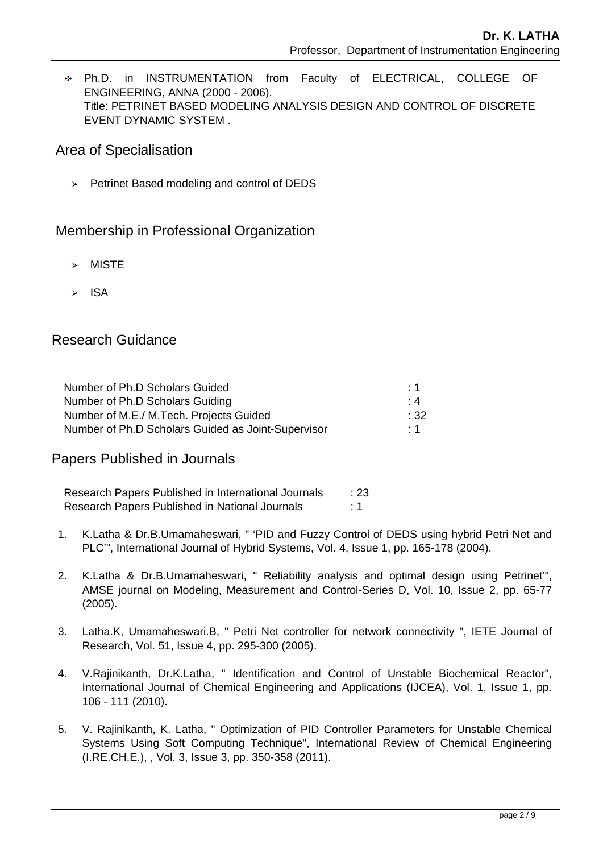Ph.D. in INSTRUMENTATION from Faculty of ELECTRICAL, COLLEGE OF ENGINEERING, ANNA (2000 - 2006). Title: PETRINET BASED MODELING ANALYSIS DESIGN AND CONTROL OF DISCRETE EVENT DYNAMIC SYSTEM .

### Area of Specialisation

 $\triangleright$  Petrinet Based modeling and control of DEDS

### Membership in Professional Organization

- **MISTE**
- ISA

## Research Guidance

| Number of Ph.D Scholars Guided                     | :1        |
|----------------------------------------------------|-----------|
| Number of Ph.D Scholars Guiding                    | : 4       |
| Number of M.E./ M.Tech. Projects Guided            | :32       |
| Number of Ph.D Scholars Guided as Joint-Supervisor | $\cdot$ 1 |

### Papers Published in Journals

| Research Papers Published in International Journals | $\cdot$ 23 |
|-----------------------------------------------------|------------|
| Research Papers Published in National Journals      |            |

- 1. K.Latha & Dr.B.Umamaheswari, " 'PID and Fuzzy Control of DEDS using hybrid Petri Net and PLC'", International Journal of Hybrid Systems, Vol. 4, Issue 1, pp. 165-178 (2004).
- 2. K.Latha & Dr.B.Umamaheswari, " Reliability analysis and optimal design using Petrinet'", AMSE journal on Modeling, Measurement and Control-Series D, Vol. 10, Issue 2, pp. 65-77 (2005).
- 3. Latha.K, Umamaheswari.B, " Petri Net controller for network connectivity ", IETE Journal of Research, Vol. 51, Issue 4, pp. 295-300 (2005).
- 4. V.Rajinikanth, Dr.K.Latha, " Identification and Control of Unstable Biochemical Reactor", International Journal of Chemical Engineering and Applications (IJCEA), Vol. 1, Issue 1, pp. 106 - 111 (2010).
- 5. V. Rajinikanth, K. Latha, " Optimization of PID Controller Parameters for Unstable Chemical Systems Using Soft Computing Technique", International Review of Chemical Engineering (I.RE.CH.E.), , Vol. 3, Issue 3, pp. 350-358 (2011).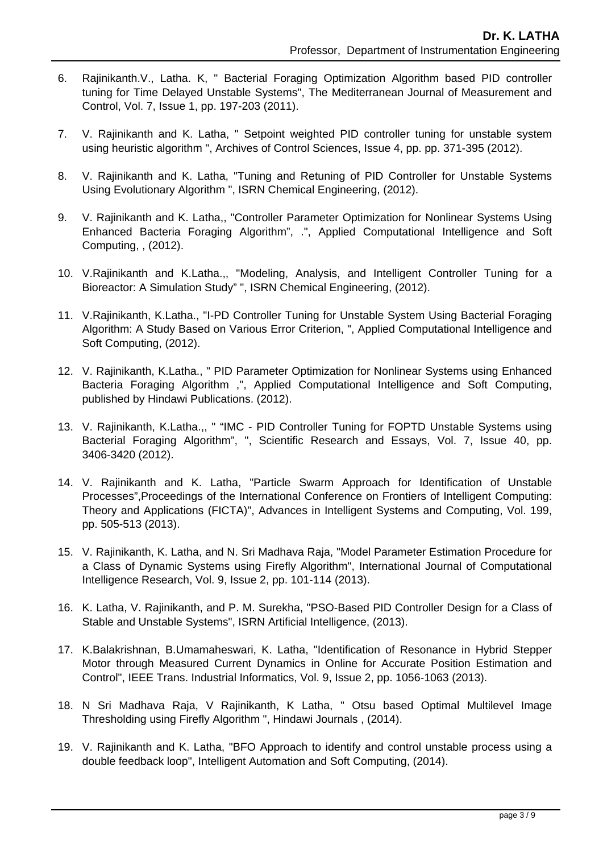- 6. Rajinikanth.V., Latha. K, " Bacterial Foraging Optimization Algorithm based PID controller tuning for Time Delayed Unstable Systems", The Mediterranean Journal of Measurement and Control, Vol. 7, Issue 1, pp. 197-203 (2011).
- 7. V. Rajinikanth and K. Latha, " Setpoint weighted PID controller tuning for unstable system using heuristic algorithm ", Archives of Control Sciences, Issue 4, pp. pp. 371-395 (2012).
- 8. V. Rajinikanth and K. Latha, "Tuning and Retuning of PID Controller for Unstable Systems Using Evolutionary Algorithm ", ISRN Chemical Engineering, (2012).
- 9. V. Rajinikanth and K. Latha,, "Controller Parameter Optimization for Nonlinear Systems Using Enhanced Bacteria Foraging Algorithm", .", Applied Computational Intelligence and Soft Computing, , (2012).
- 10. V.Rajinikanth and K.Latha.,, "Modeling, Analysis, and Intelligent Controller Tuning for a Bioreactor: A Simulation Study" ", ISRN Chemical Engineering, (2012).
- 11. V.Rajinikanth, K.Latha., "I-PD Controller Tuning for Unstable System Using Bacterial Foraging Algorithm: A Study Based on Various Error Criterion, ", Applied Computational Intelligence and Soft Computing, (2012).
- 12. V. Rajinikanth, K.Latha., " PID Parameter Optimization for Nonlinear Systems using Enhanced Bacteria Foraging Algorithm ,", Applied Computational Intelligence and Soft Computing, published by Hindawi Publications. (2012).
- 13. V. Rajinikanth, K.Latha.,, " "IMC PID Controller Tuning for FOPTD Unstable Systems using Bacterial Foraging Algorithm", ", Scientific Research and Essays, Vol. 7, Issue 40, pp. 3406-3420 (2012).
- 14. V. Rajinikanth and K. Latha, "Particle Swarm Approach for Identification of Unstable Processes",Proceedings of the International Conference on Frontiers of Intelligent Computing: Theory and Applications (FICTA)", Advances in Intelligent Systems and Computing, Vol. 199, pp. 505-513 (2013).
- 15. V. Rajinikanth, K. Latha, and N. Sri Madhava Raja, "Model Parameter Estimation Procedure for a Class of Dynamic Systems using Firefly Algorithm", International Journal of Computational Intelligence Research, Vol. 9, Issue 2, pp. 101-114 (2013).
- 16. K. Latha, V. Rajinikanth, and P. M. Surekha, "PSO-Based PID Controller Design for a Class of Stable and Unstable Systems", ISRN Artificial Intelligence, (2013).
- 17. K.Balakrishnan, B.Umamaheswari, K. Latha, "Identification of Resonance in Hybrid Stepper Motor through Measured Current Dynamics in Online for Accurate Position Estimation and Control", IEEE Trans. Industrial Informatics, Vol. 9, Issue 2, pp. 1056-1063 (2013).
- 18. N Sri Madhava Raja, V Rajinikanth, K Latha, " Otsu based Optimal Multilevel Image Thresholding using Firefly Algorithm ", Hindawi Journals , (2014).
- 19. V. Rajinikanth and K. Latha, "BFO Approach to identify and control unstable process using a double feedback loop", Intelligent Automation and Soft Computing, (2014).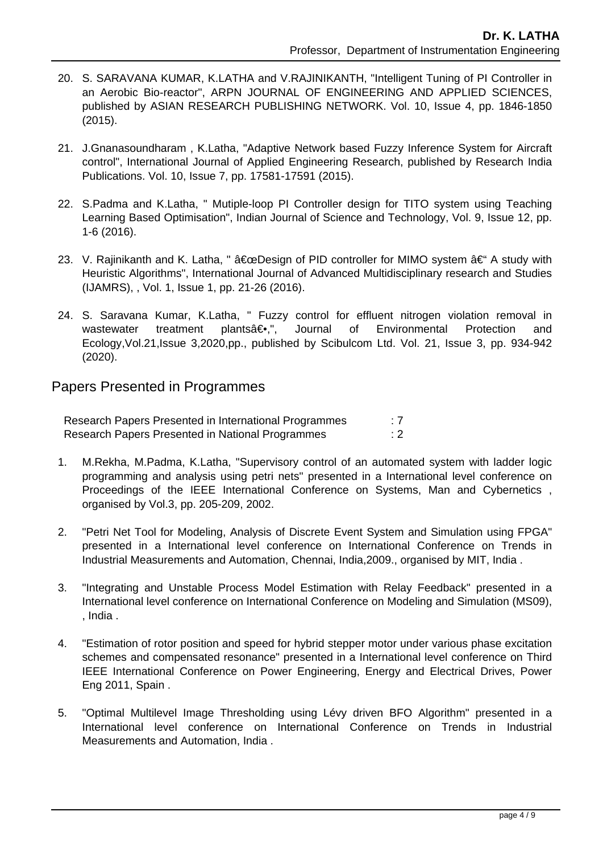- 20. S. SARAVANA KUMAR, K.LATHA and V.RAJINIKANTH, "Intelligent Tuning of PI Controller in an Aerobic Bio-reactor", ARPN JOURNAL OF ENGINEERING AND APPLIED SCIENCES, published by ASIAN RESEARCH PUBLISHING NETWORK. Vol. 10, Issue 4, pp. 1846-1850 (2015).
- 21. J.Gnanasoundharam , K.Latha, "Adaptive Network based Fuzzy Inference System for Aircraft control", International Journal of Applied Engineering Research, published by Research India Publications. Vol. 10, Issue 7, pp. 17581-17591 (2015).
- 22. S.Padma and K.Latha, " Mutiple-loop PI Controller design for TITO system using Teaching Learning Based Optimisation", Indian Journal of Science and Technology, Vol. 9, Issue 12, pp. 1-6 (2016).
- 23. V. Rajinikanth and K. Latha, "  $â€ceDesign of PID controller for MIMO system  $\hat{a}€``A$  study with$ Heuristic Algorithms", International Journal of Advanced Multidisciplinary research and Studies (IJAMRS), , Vol. 1, Issue 1, pp. 21-26 (2016).
- 24. S. Saravana Kumar, K.Latha, " Fuzzy control for effluent nitrogen violation removal in wastewater treatment plants―.", Journal of Environmental Protection and Ecology,Vol.21,Issue 3,2020,pp., published by Scibulcom Ltd. Vol. 21, Issue 3, pp. 934-942 (2020).

## Papers Presented in Programmes

Research Papers Presented in International Programmes : 7 Research Papers Presented in National Programmes : 2

- 1. M.Rekha, M.Padma, K.Latha, "Supervisory control of an automated system with ladder logic programming and analysis using petri nets" presented in a International level conference on Proceedings of the IEEE International Conference on Systems, Man and Cybernetics , organised by Vol.3, pp. 205-209, 2002.
- 2. "Petri Net Tool for Modeling, Analysis of Discrete Event System and Simulation using FPGA" presented in a International level conference on International Conference on Trends in Industrial Measurements and Automation, Chennai, India,2009., organised by MIT, India .
- 3. "Integrating and Unstable Process Model Estimation with Relay Feedback" presented in a International level conference on International Conference on Modeling and Simulation (MS09), , India .
- 4. "Estimation of rotor position and speed for hybrid stepper motor under various phase excitation schemes and compensated resonance" presented in a International level conference on Third IEEE International Conference on Power Engineering, Energy and Electrical Drives, Power Eng 2011, Spain .
- 5. "Optimal Multilevel Image Thresholding using Lévy driven BFO Algorithm" presented in a International level conference on International Conference on Trends in Industrial Measurements and Automation, India .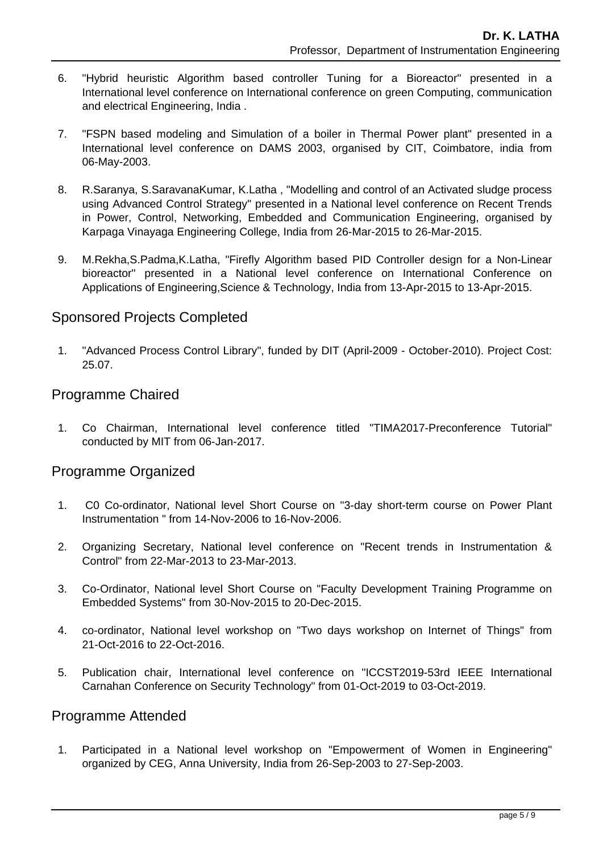- 6. "Hybrid heuristic Algorithm based controller Tuning for a Bioreactor" presented in a International level conference on International conference on green Computing, communication and electrical Engineering, India .
- 7. "FSPN based modeling and Simulation of a boiler in Thermal Power plant" presented in a International level conference on DAMS 2003, organised by CIT, Coimbatore, india from 06-May-2003.
- 8. R.Saranya, S.SaravanaKumar, K.Latha , "Modelling and control of an Activated sludge process using Advanced Control Strategy" presented in a National level conference on Recent Trends in Power, Control, Networking, Embedded and Communication Engineering, organised by Karpaga Vinayaga Engineering College, India from 26-Mar-2015 to 26-Mar-2015.
- 9. M.Rekha,S.Padma,K.Latha, "Firefly Algorithm based PID Controller design for a Non-Linear bioreactor" presented in a National level conference on International Conference on Applications of Engineering,Science & Technology, India from 13-Apr-2015 to 13-Apr-2015.

## Sponsored Projects Completed

 1. "Advanced Process Control Library", funded by DIT (April-2009 - October-2010). Project Cost: 25.07.

# Programme Chaired

 1. Co Chairman, International level conference titled "TIMA2017-Preconference Tutorial" conducted by MIT from 06-Jan-2017.

## Programme Organized

- 1. C0 Co-ordinator, National level Short Course on "3-day short-term course on Power Plant Instrumentation " from 14-Nov-2006 to 16-Nov-2006.
- 2. Organizing Secretary, National level conference on "Recent trends in Instrumentation & Control" from 22-Mar-2013 to 23-Mar-2013.
- 3. Co-Ordinator, National level Short Course on "Faculty Development Training Programme on Embedded Systems" from 30-Nov-2015 to 20-Dec-2015.
- 4. co-ordinator, National level workshop on "Two days workshop on Internet of Things" from 21-Oct-2016 to 22-Oct-2016.
- 5. Publication chair, International level conference on "ICCST2019-53rd IEEE International Carnahan Conference on Security Technology" from 01-Oct-2019 to 03-Oct-2019.

### Programme Attended

 1. Participated in a National level workshop on "Empowerment of Women in Engineering" organized by CEG, Anna University, India from 26-Sep-2003 to 27-Sep-2003.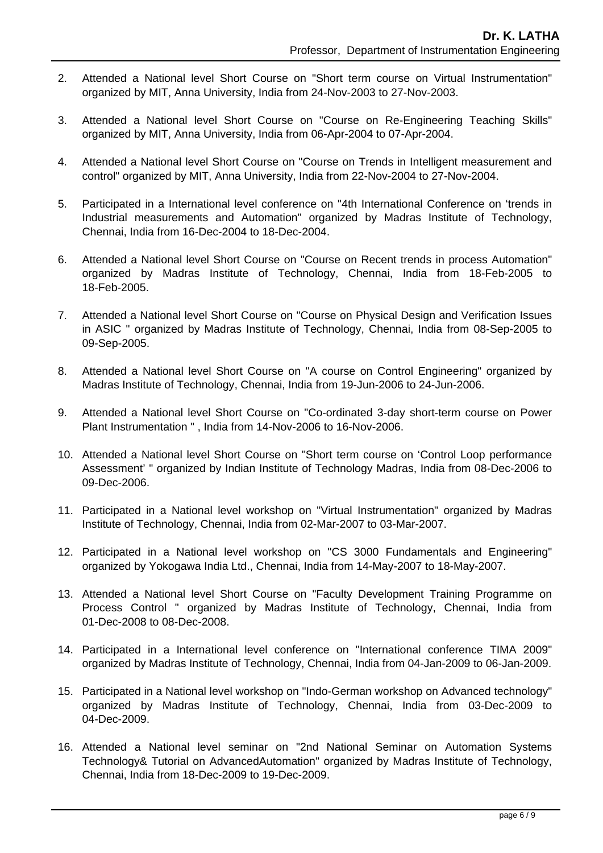- 2. Attended a National level Short Course on "Short term course on Virtual Instrumentation" organized by MIT, Anna University, India from 24-Nov-2003 to 27-Nov-2003.
- 3. Attended a National level Short Course on "Course on Re-Engineering Teaching Skills" organized by MIT, Anna University, India from 06-Apr-2004 to 07-Apr-2004.
- 4. Attended a National level Short Course on "Course on Trends in Intelligent measurement and control" organized by MIT, Anna University, India from 22-Nov-2004 to 27-Nov-2004.
- 5. Participated in a International level conference on "4th International Conference on 'trends in Industrial measurements and Automation" organized by Madras Institute of Technology, Chennai, India from 16-Dec-2004 to 18-Dec-2004.
- 6. Attended a National level Short Course on "Course on Recent trends in process Automation" organized by Madras Institute of Technology, Chennai, India from 18-Feb-2005 to 18-Feb-2005.
- 7. Attended a National level Short Course on "Course on Physical Design and Verification Issues in ASIC " organized by Madras Institute of Technology, Chennai, India from 08-Sep-2005 to 09-Sep-2005.
- 8. Attended a National level Short Course on "A course on Control Engineering" organized by Madras Institute of Technology, Chennai, India from 19-Jun-2006 to 24-Jun-2006.
- 9. Attended a National level Short Course on "Co-ordinated 3-day short-term course on Power Plant Instrumentation " , India from 14-Nov-2006 to 16-Nov-2006.
- 10. Attended a National level Short Course on "Short term course on 'Control Loop performance Assessment' " organized by Indian Institute of Technology Madras, India from 08-Dec-2006 to 09-Dec-2006.
- 11. Participated in a National level workshop on "Virtual Instrumentation" organized by Madras Institute of Technology, Chennai, India from 02-Mar-2007 to 03-Mar-2007.
- 12. Participated in a National level workshop on "CS 3000 Fundamentals and Engineering" organized by Yokogawa India Ltd., Chennai, India from 14-May-2007 to 18-May-2007.
- 13. Attended a National level Short Course on "Faculty Development Training Programme on Process Control " organized by Madras Institute of Technology, Chennai, India from 01-Dec-2008 to 08-Dec-2008.
- 14. Participated in a International level conference on "International conference TIMA 2009" organized by Madras Institute of Technology, Chennai, India from 04-Jan-2009 to 06-Jan-2009.
- 15. Participated in a National level workshop on "Indo-German workshop on Advanced technology" organized by Madras Institute of Technology, Chennai, India from 03-Dec-2009 to 04-Dec-2009.
- 16. Attended a National level seminar on "2nd National Seminar on Automation Systems Technology& Tutorial on AdvancedAutomation" organized by Madras Institute of Technology, Chennai, India from 18-Dec-2009 to 19-Dec-2009.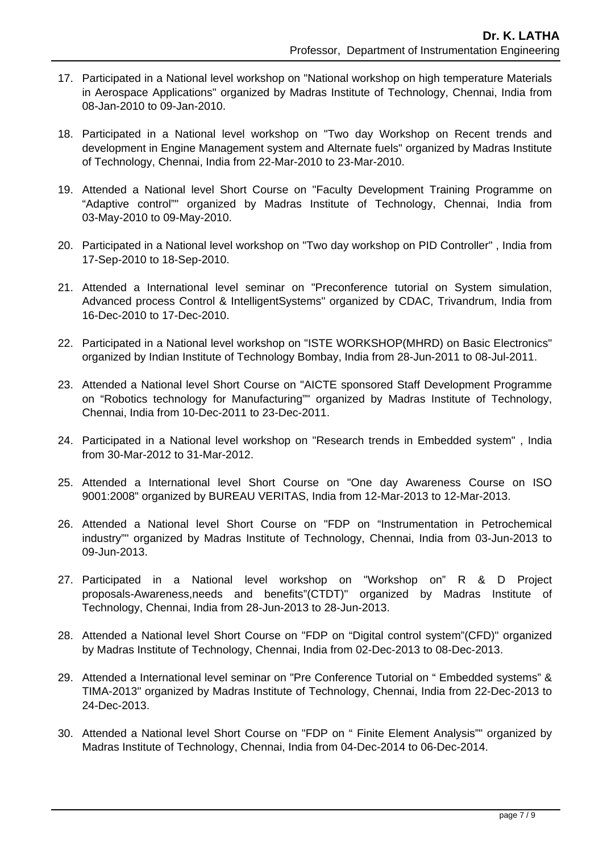- 17. Participated in a National level workshop on "National workshop on high temperature Materials in Aerospace Applications" organized by Madras Institute of Technology, Chennai, India from 08-Jan-2010 to 09-Jan-2010.
- 18. Participated in a National level workshop on "Two day Workshop on Recent trends and development in Engine Management system and Alternate fuels" organized by Madras Institute of Technology, Chennai, India from 22-Mar-2010 to 23-Mar-2010.
- 19. Attended a National level Short Course on "Faculty Development Training Programme on "Adaptive control"" organized by Madras Institute of Technology, Chennai, India from 03-May-2010 to 09-May-2010.
- 20. Participated in a National level workshop on "Two day workshop on PID Controller" , India from 17-Sep-2010 to 18-Sep-2010.
- 21. Attended a International level seminar on "Preconference tutorial on System simulation, Advanced process Control & IntelligentSystems" organized by CDAC, Trivandrum, India from 16-Dec-2010 to 17-Dec-2010.
- 22. Participated in a National level workshop on "ISTE WORKSHOP(MHRD) on Basic Electronics" organized by Indian Institute of Technology Bombay, India from 28-Jun-2011 to 08-Jul-2011.
- 23. Attended a National level Short Course on "AICTE sponsored Staff Development Programme on "Robotics technology for Manufacturing"" organized by Madras Institute of Technology, Chennai, India from 10-Dec-2011 to 23-Dec-2011.
- 24. Participated in a National level workshop on "Research trends in Embedded system" , India from 30-Mar-2012 to 31-Mar-2012.
- 25. Attended a International level Short Course on "One day Awareness Course on ISO 9001:2008" organized by BUREAU VERITAS, India from 12-Mar-2013 to 12-Mar-2013.
- 26. Attended a National level Short Course on "FDP on "Instrumentation in Petrochemical industry"" organized by Madras Institute of Technology, Chennai, India from 03-Jun-2013 to 09-Jun-2013.
- 27. Participated in a National level workshop on "Workshop on" R & D Project proposals-Awareness,needs and benefits"(CTDT)" organized by Madras Institute of Technology, Chennai, India from 28-Jun-2013 to 28-Jun-2013.
- 28. Attended a National level Short Course on "FDP on "Digital control system"(CFD)" organized by Madras Institute of Technology, Chennai, India from 02-Dec-2013 to 08-Dec-2013.
- 29. Attended a International level seminar on "Pre Conference Tutorial on " Embedded systems" & TIMA-2013" organized by Madras Institute of Technology, Chennai, India from 22-Dec-2013 to 24-Dec-2013.
- 30. Attended a National level Short Course on "FDP on " Finite Element Analysis"" organized by Madras Institute of Technology, Chennai, India from 04-Dec-2014 to 06-Dec-2014.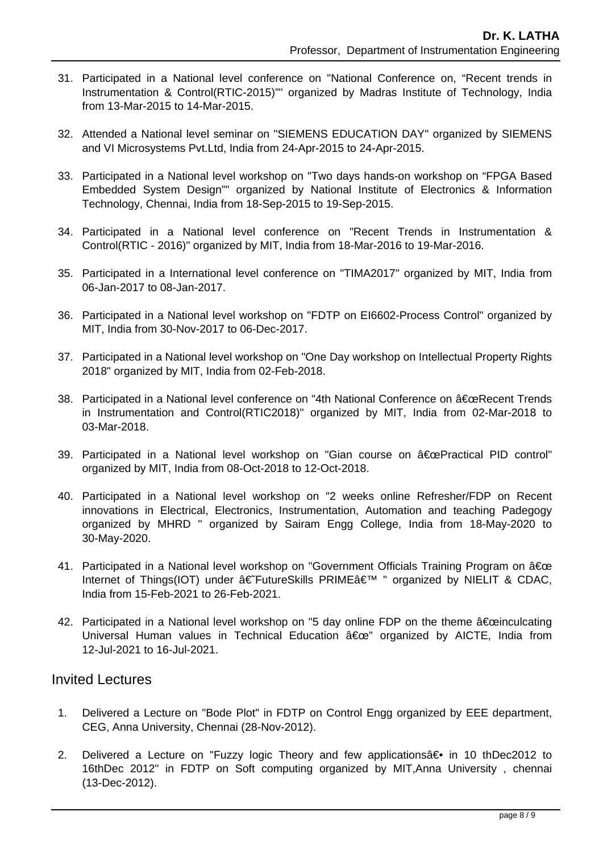- 31. Participated in a National level conference on "National Conference on, "Recent trends in Instrumentation & Control(RTIC-2015)"" organized by Madras Institute of Technology, India from 13-Mar-2015 to 14-Mar-2015.
- 32. Attended a National level seminar on "SIEMENS EDUCATION DAY" organized by SIEMENS and VI Microsystems Pvt.Ltd, India from 24-Apr-2015 to 24-Apr-2015.
- 33. Participated in a National level workshop on "Two days hands-on workshop on "FPGA Based Embedded System Design"" organized by National Institute of Electronics & Information Technology, Chennai, India from 18-Sep-2015 to 19-Sep-2015.
- 34. Participated in a National level conference on "Recent Trends in Instrumentation & Control(RTIC - 2016)" organized by MIT, India from 18-Mar-2016 to 19-Mar-2016.
- 35. Participated in a International level conference on "TIMA2017" organized by MIT, India from 06-Jan-2017 to 08-Jan-2017.
- 36. Participated in a National level workshop on "FDTP on EI6602-Process Control" organized by MIT, India from 30-Nov-2017 to 06-Dec-2017.
- 37. Participated in a National level workshop on "One Day workshop on Intellectual Property Rights 2018" organized by MIT, India from 02-Feb-2018.
- 38. Participated in a National level conference on "4th National Conference on "Recent Trends in Instrumentation and Control(RTIC2018)" organized by MIT, India from 02-Mar-2018 to 03-Mar-2018.
- 39. Participated in a National level workshop on "Gian course on "Practical PID control" organized by MIT, India from 08-Oct-2018 to 12-Oct-2018.
- 40. Participated in a National level workshop on "2 weeks online Refresher/FDP on Recent innovations in Electrical, Electronics, Instrumentation, Automation and teaching Padegogy organized by MHRD " organized by Sairam Engg College, India from 18-May-2020 to 30-May-2020.
- 41. Participated in a National level workshop on "Government Officials Training Program on " Internet of Things(IOT) under †FutureSkills PRIME ' " organized by NIELIT & CDAC, India from 15-Feb-2021 to 26-Feb-2021.
- 42. Participated in a National level workshop on "5 day online FDP on the theme  $\hat{a} \in \hat{c}$  exerculcating Universal Human values in Technical Education  $\hat{a} \in \infty$ " organized by AICTE, India from 12-Jul-2021 to 16-Jul-2021.

#### Invited Lectures

- 1. Delivered a Lecture on "Bode Plot" in FDTP on Control Engg organized by EEE department, CEG, Anna University, Chennai (28-Nov-2012).
- 2. Delivered a Lecture on "Fuzzy logic Theory and few applications― in 10 thDec2012 to 16thDec 2012" in FDTP on Soft computing organized by MIT,Anna University , chennai (13-Dec-2012).